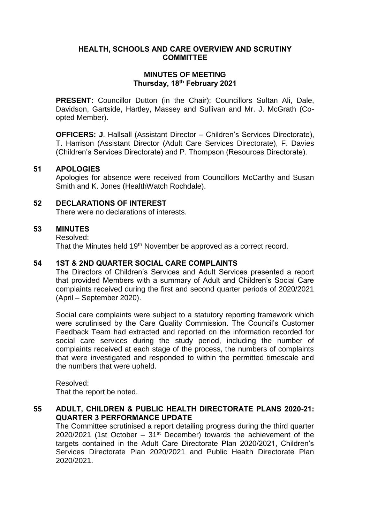# **HEALTH, SCHOOLS AND CARE OVERVIEW AND SCRUTINY COMMITTEE**

# **MINUTES OF MEETING Thursday, 18th February 2021**

**PRESENT:** Councillor Dutton (in the Chair); Councillors Sultan Ali, Dale, Davidson, Gartside, Hartley, Massey and Sullivan and Mr. J. McGrath (Coopted Member).

**OFFICERS: J**. Hallsall (Assistant Director – Children's Services Directorate), T. Harrison (Assistant Director (Adult Care Services Directorate), F. Davies (Children's Services Directorate) and P. Thompson (Resources Directorate).

## **51 APOLOGIES**

Apologies for absence were received from Councillors McCarthy and Susan Smith and K. Jones (HealthWatch Rochdale).

# **52 DECLARATIONS OF INTEREST**

There were no declarations of interests.

# **53 MINUTES**

Resolved:

That the Minutes held 19<sup>th</sup> November be approved as a correct record.

# **54 1ST & 2ND QUARTER SOCIAL CARE COMPLAINTS**

The Directors of Children's Services and Adult Services presented a report that provided Members with a summary of Adult and Children's Social Care complaints received during the first and second quarter periods of 2020/2021 (April – September 2020).

Social care complaints were subject to a statutory reporting framework which were scrutinised by the Care Quality Commission. The Council's Customer Feedback Team had extracted and reported on the information recorded for social care services during the study period, including the number of complaints received at each stage of the process, the numbers of complaints that were investigated and responded to within the permitted timescale and the numbers that were upheld.

Resolved: That the report be noted.

**55 ADULT, CHILDREN & PUBLIC HEALTH DIRECTORATE PLANS 2020-21: QUARTER 3 PERFORMANCE UPDATE**

The Committee scrutinised a report detailing progress during the third quarter 2020/2021 (1st October  $-31<sup>st</sup>$  December) towards the achievement of the targets contained in the Adult Care Directorate Plan 2020/2021, Children's Services Directorate Plan 2020/2021 and Public Health Directorate Plan 2020/2021.